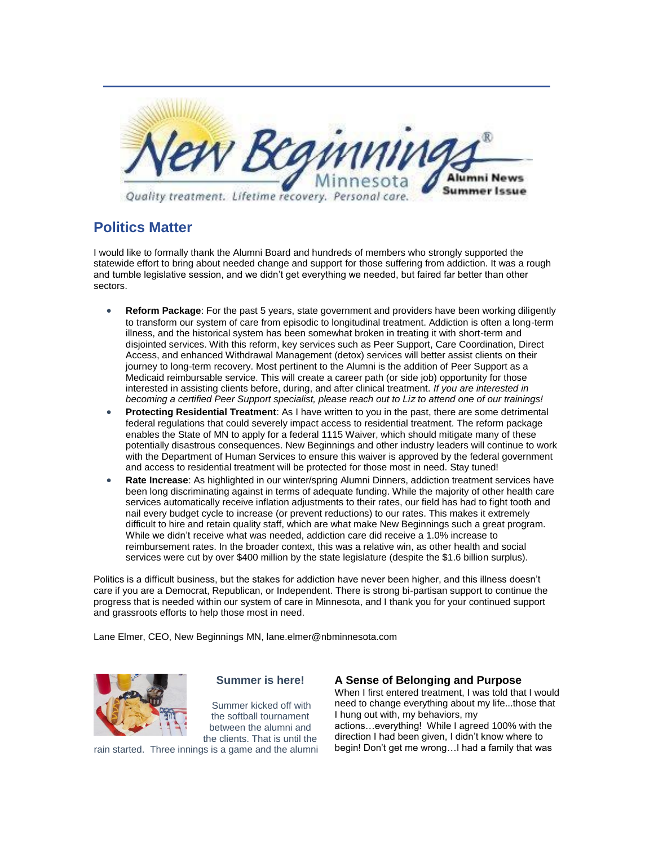

## **Politics Matter**

I would like to formally thank the Alumni Board and hundreds of members who strongly supported the statewide effort to bring about needed change and support for those suffering from addiction. It was a rough and tumble legislative session, and we didn't get everything we needed, but faired far better than other sectors.

- **Reform Package**: For the past 5 years, state government and providers have been working diligently to transform our system of care from episodic to longitudinal treatment. Addiction is often a long-term illness, and the historical system has been somewhat broken in treating it with short-term and disjointed services. With this reform, key services such as Peer Support, Care Coordination, Direct Access, and enhanced Withdrawal Management (detox) services will better assist clients on their journey to long-term recovery. Most pertinent to the Alumni is the addition of Peer Support as a Medicaid reimbursable service. This will create a career path (or side job) opportunity for those interested in assisting clients before, during, and after clinical treatment. *If you are interested in becoming a certified Peer Support specialist, please reach out to Liz to attend one of our trainings!*
- **Protecting Residential Treatment**: As I have written to you in the past, there are some detrimental federal regulations that could severely impact access to residential treatment. The reform package enables the State of MN to apply for a federal 1115 Waiver, which should mitigate many of these potentially disastrous consequences. New Beginnings and other industry leaders will continue to work with the Department of Human Services to ensure this waiver is approved by the federal government and access to residential treatment will be protected for those most in need. Stay tuned!
- **Rate Increase**: As highlighted in our winter/spring Alumni Dinners, addiction treatment services have been long discriminating against in terms of adequate funding. While the majority of other health care services automatically receive inflation adjustments to their rates, our field has had to fight tooth and nail every budget cycle to increase (or prevent reductions) to our rates. This makes it extremely difficult to hire and retain quality staff, which are what make New Beginnings such a great program. While we didn't receive what was needed, addiction care did receive a 1.0% increase to reimbursement rates. In the broader context, this was a relative win, as other health and social services were cut by over \$400 million by the state legislature (despite the \$1.6 billion surplus).

Politics is a difficult business, but the stakes for addiction have never been higher, and this illness doesn't care if you are a Democrat, Republican, or Independent. There is strong bi-partisan support to continue the progress that is needed within our system of care in Minnesota, and I thank you for your continued support and grassroots efforts to help those most in need.

Lane Elmer, CEO, New Beginnings MN, lane.elmer@nbminnesota.com



## **Summer is here!**

Summer kicked off with the softball tournament between the alumni and the clients. That is until the

rain started. Three innings is a game and the alumni

## **A Sense of Belonging and Purpose**

When I first entered treatment, I was told that I would need to change everything about my life...those that I hung out with, my behaviors, my actions…everything! While I agreed 100% with the direction I had been given, I didn't know where to begin! Don't get me wrong…I had a family that was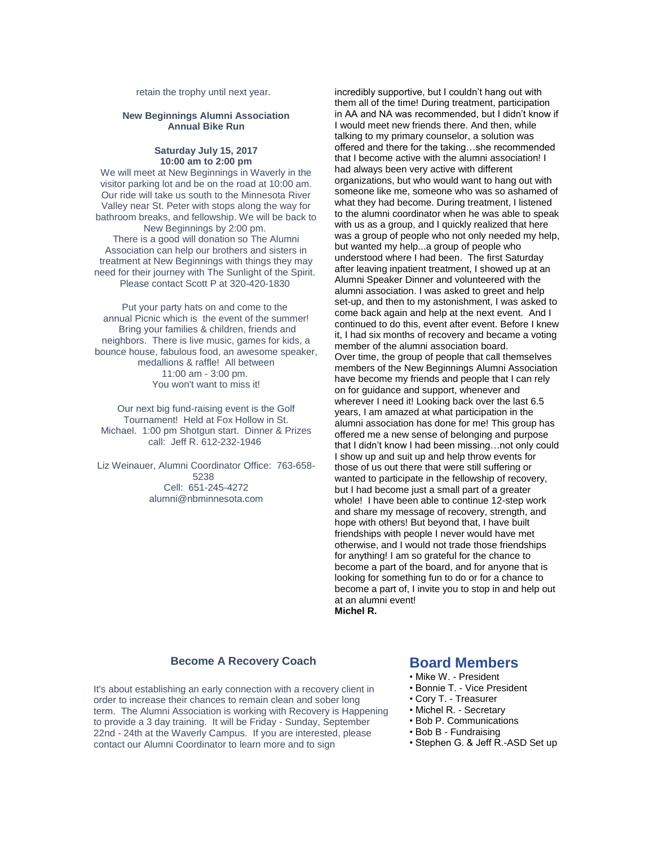retain the trophy until next year.

#### **New Beginnings Alumni Association Annual Bike Run**

#### **Saturday July 15, 2017 10:00 am to 2:00 pm**

We will meet at New Beginnings in Waverly in the visitor parking lot and be on the road at 10:00 am. Our ride will take us south to the Minnesota River Valley near St. Peter with stops along the way for bathroom breaks, and fellowship. We will be back to New Beginnings by 2:00 pm.

There is a good will donation so The Alumni Association can help our brothers and sisters in treatment at New Beginnings with things they may need for their journey with The Sunlight of the Spirit. Please contact Scott P at 320-420-1830

Put your party hats on and come to the annual Picnic which is the event of the summer! Bring your families & children, friends and neighbors. There is live music, games for kids, a bounce house, fabulous food, an awesome speaker, medallions & raffle! All between 11:00 am - 3:00 pm. You won't want to miss it!

Our next big fund-raising event is the Golf Tournament! Held at Fox Hollow in St. Michael. 1:00 pm Shotgun start. Dinner & Prizes call: Jeff R. 612-232-1946

Liz Weinauer, Alumni Coordinator Office: 763-658- 5238 Cell: 651-245-4272 alumni@nbminnesota.com

incredibly supportive, but I couldn't hang out with them all of the time! During treatment, participation in AA and NA was recommended, but I didn't know if I would meet new friends there. And then, while talking to my primary counselor, a solution was offered and there for the taking…she recommended that I become active with the alumni association! I had always been very active with different organizations, but who would want to hang out with someone like me, someone who was so ashamed of what they had become. During treatment, I listened to the alumni coordinator when he was able to speak with us as a group, and I quickly realized that here was a group of people who not only needed my help, but wanted my help...a group of people who understood where I had been. The first Saturday after leaving inpatient treatment, I showed up at an Alumni Speaker Dinner and volunteered with the alumni association. I was asked to greet and help set-up, and then to my astonishment, I was asked to come back again and help at the next event. And I continued to do this, event after event. Before I knew it, I had six months of recovery and became a voting member of the alumni association board. Over time, the group of people that call themselves members of the New Beginnings Alumni Association have become my friends and people that I can rely on for guidance and support, whenever and wherever I need it! Looking back over the last 6.5 years, I am amazed at what participation in the alumni association has done for me! This group has offered me a new sense of belonging and purpose that I didn't know I had been missing…not only could I show up and suit up and help throw events for those of us out there that were still suffering or wanted to participate in the fellowship of recovery, but I had become just a small part of a greater whole! I have been able to continue 12-step work and share my message of recovery, strength, and hope with others! But beyond that, I have built friendships with people I never would have met otherwise, and I would not trade those friendships for anything! I am so grateful for the chance to become a part of the board, and for anyone that is looking for something fun to do or for a chance to become a part of, I invite you to stop in and help out at an alumni event! **Michel R.**

## **Become A Recovery Coach**

It's about establishing an early connection with a recovery client in order to increase their chances to remain clean and sober long term. The Alumni Association is working with Recovery is Happening to provide a 3 day training. It will be Friday - Sunday, September 22nd - 24th at the Waverly Campus. If you are interested, please contact our Alumni Coordinator to learn more and to sign

## **Board Members**

- Mike W. President
- Bonnie T. Vice President
- Cory T. Treasurer
- Michel R. Secretary
- Bob P. Communications
- Bob B Fundraising
- Stephen G. & Jeff R.-ASD Set up